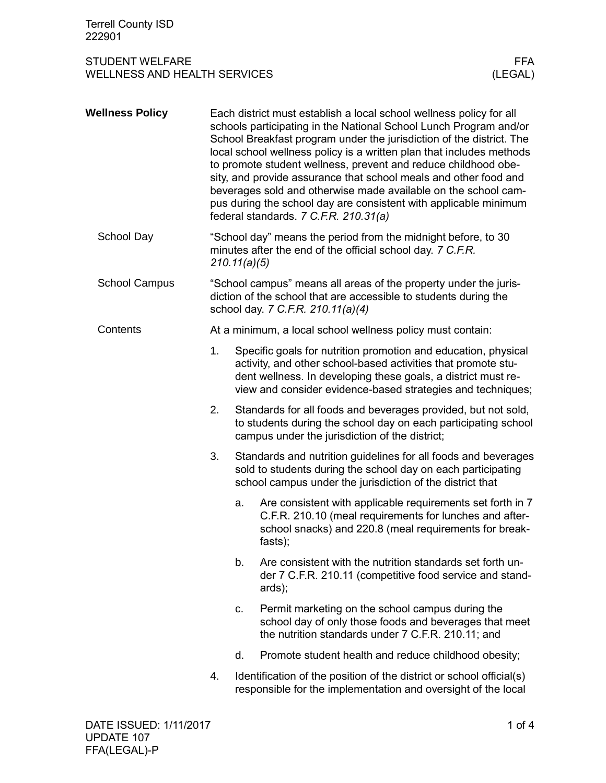## STUDENT WELFARE FFA<br>WELLNESS AND HEALTH SERVICES WELLNESS (LEGAL) WELLNESS AND HEALTH SERVICES

| <b>Wellness Policy</b> |                                                            | Each district must establish a local school wellness policy for all<br>schools participating in the National School Lunch Program and/or<br>School Breakfast program under the jurisdiction of the district. The<br>local school wellness policy is a written plan that includes methods<br>to promote student wellness, prevent and reduce childhood obe-<br>sity, and provide assurance that school meals and other food and<br>beverages sold and otherwise made available on the school cam-<br>pus during the school day are consistent with applicable minimum<br>federal standards. 7 C.F.R. 210.31(a) |                                                                                                                                                                                            |  |  |  |
|------------------------|------------------------------------------------------------|---------------------------------------------------------------------------------------------------------------------------------------------------------------------------------------------------------------------------------------------------------------------------------------------------------------------------------------------------------------------------------------------------------------------------------------------------------------------------------------------------------------------------------------------------------------------------------------------------------------|--------------------------------------------------------------------------------------------------------------------------------------------------------------------------------------------|--|--|--|
| School Day             |                                                            | "School day" means the period from the midnight before, to 30<br>minutes after the end of the official school day. 7 C.F.R.<br>210.11(a)(5)                                                                                                                                                                                                                                                                                                                                                                                                                                                                   |                                                                                                                                                                                            |  |  |  |
| <b>School Campus</b>   |                                                            | "School campus" means all areas of the property under the juris-<br>diction of the school that are accessible to students during the<br>school day. 7 C.F.R. 210.11(a)(4)                                                                                                                                                                                                                                                                                                                                                                                                                                     |                                                                                                                                                                                            |  |  |  |
| Contents               | At a minimum, a local school wellness policy must contain: |                                                                                                                                                                                                                                                                                                                                                                                                                                                                                                                                                                                                               |                                                                                                                                                                                            |  |  |  |
|                        | 1.                                                         | Specific goals for nutrition promotion and education, physical<br>activity, and other school-based activities that promote stu-<br>dent wellness. In developing these goals, a district must re-<br>view and consider evidence-based strategies and techniques;                                                                                                                                                                                                                                                                                                                                               |                                                                                                                                                                                            |  |  |  |
|                        | 2.                                                         | Standards for all foods and beverages provided, but not sold,<br>to students during the school day on each participating school<br>campus under the jurisdiction of the district;                                                                                                                                                                                                                                                                                                                                                                                                                             |                                                                                                                                                                                            |  |  |  |
|                        | 3.                                                         | Standards and nutrition guidelines for all foods and beverages<br>sold to students during the school day on each participating<br>school campus under the jurisdiction of the district that                                                                                                                                                                                                                                                                                                                                                                                                                   |                                                                                                                                                                                            |  |  |  |
|                        |                                                            | a.                                                                                                                                                                                                                                                                                                                                                                                                                                                                                                                                                                                                            | Are consistent with applicable requirements set forth in 7<br>C.F.R. 210.10 (meal requirements for lunches and after-<br>school snacks) and 220.8 (meal requirements for break-<br>fasts); |  |  |  |
|                        |                                                            | b.                                                                                                                                                                                                                                                                                                                                                                                                                                                                                                                                                                                                            | Are consistent with the nutrition standards set forth un-<br>der 7 C.F.R. 210.11 (competitive food service and stand-<br>ards);                                                            |  |  |  |
|                        |                                                            | c.                                                                                                                                                                                                                                                                                                                                                                                                                                                                                                                                                                                                            | Permit marketing on the school campus during the<br>school day of only those foods and beverages that meet<br>the nutrition standards under 7 C.F.R. 210.11; and                           |  |  |  |
|                        |                                                            | d.                                                                                                                                                                                                                                                                                                                                                                                                                                                                                                                                                                                                            | Promote student health and reduce childhood obesity;                                                                                                                                       |  |  |  |
|                        | 4.                                                         |                                                                                                                                                                                                                                                                                                                                                                                                                                                                                                                                                                                                               | Identification of the position of the district or school official(s)<br>responsible for the implementation and oversight of the local                                                      |  |  |  |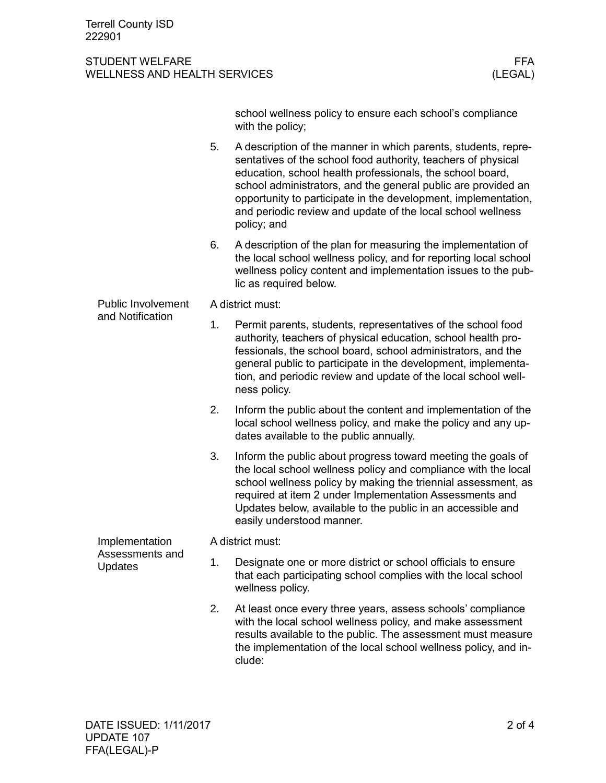## STUDENT WELFARE FFA<br>WELLNESS AND HEALTH SERVICES WELLNESS (LEGAL) WELLNESS AND HEALTH SERVICES

|                                                     |    | school wellness policy to ensure each school's compliance<br>with the policy;                                                                                                                                                                                                                                                                                                                                 |  |  |  |  |
|-----------------------------------------------------|----|---------------------------------------------------------------------------------------------------------------------------------------------------------------------------------------------------------------------------------------------------------------------------------------------------------------------------------------------------------------------------------------------------------------|--|--|--|--|
|                                                     | 5. | A description of the manner in which parents, students, repre-<br>sentatives of the school food authority, teachers of physical<br>education, school health professionals, the school board,<br>school administrators, and the general public are provided an<br>opportunity to participate in the development, implementation,<br>and periodic review and update of the local school wellness<br>policy; and |  |  |  |  |
|                                                     | 6. | A description of the plan for measuring the implementation of<br>the local school wellness policy, and for reporting local school<br>wellness policy content and implementation issues to the pub-<br>lic as required below.                                                                                                                                                                                  |  |  |  |  |
| <b>Public Involvement</b><br>and Notification       |    | A district must:                                                                                                                                                                                                                                                                                                                                                                                              |  |  |  |  |
|                                                     | 1. | Permit parents, students, representatives of the school food<br>authority, teachers of physical education, school health pro-<br>fessionals, the school board, school administrators, and the<br>general public to participate in the development, implementa-<br>tion, and periodic review and update of the local school well-<br>ness policy.                                                              |  |  |  |  |
|                                                     | 2. | Inform the public about the content and implementation of the<br>local school wellness policy, and make the policy and any up-<br>dates available to the public annually.                                                                                                                                                                                                                                     |  |  |  |  |
|                                                     | 3. | Inform the public about progress toward meeting the goals of<br>the local school wellness policy and compliance with the local<br>school wellness policy by making the triennial assessment, as<br>required at item 2 under Implementation Assessments and<br>Updates below, available to the public in an accessible and<br>easily understood manner.                                                        |  |  |  |  |
| Implementation<br>Assessments and<br><b>Updates</b> |    | A district must:                                                                                                                                                                                                                                                                                                                                                                                              |  |  |  |  |
|                                                     | 1. | Designate one or more district or school officials to ensure<br>that each participating school complies with the local school<br>wellness policy.                                                                                                                                                                                                                                                             |  |  |  |  |
|                                                     | 2. | At least once every three years, assess schools' compliance<br>with the local school wellness policy, and make assessment<br>results available to the public. The assessment must measure<br>the implementation of the local school wellness policy, and in-                                                                                                                                                  |  |  |  |  |

clude: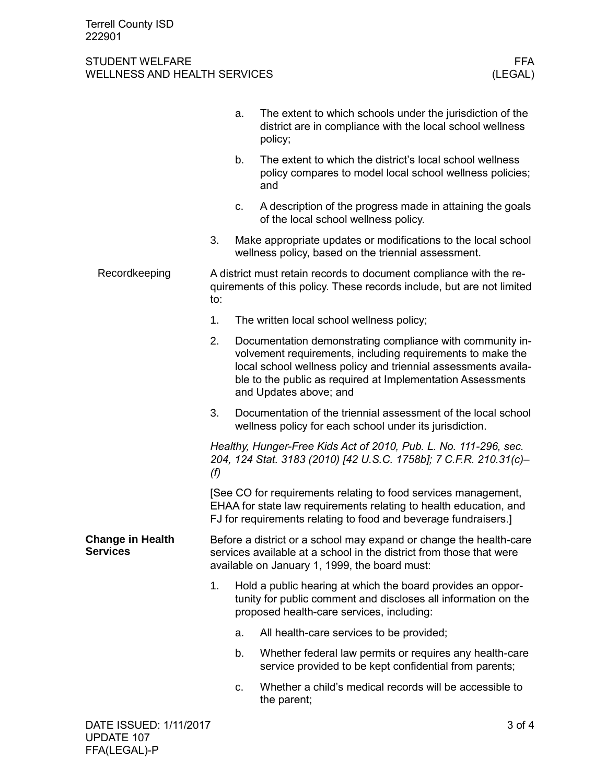## STUDENT WELFARE FFA<br>WELLNESS AND HEALTH SERVICES WELLNESS (LEGAL) WELLNESS AND HEALTH SERVICES

|                                            |                                                                                                                                                                                                        | a.                                                                                                                                                                                                                                                                                 | The extent to which schools under the jurisdiction of the<br>district are in compliance with the local school wellness<br>policy; |  |  |
|--------------------------------------------|--------------------------------------------------------------------------------------------------------------------------------------------------------------------------------------------------------|------------------------------------------------------------------------------------------------------------------------------------------------------------------------------------------------------------------------------------------------------------------------------------|-----------------------------------------------------------------------------------------------------------------------------------|--|--|
|                                            |                                                                                                                                                                                                        | b.                                                                                                                                                                                                                                                                                 | The extent to which the district's local school wellness<br>policy compares to model local school wellness policies;<br>and       |  |  |
|                                            |                                                                                                                                                                                                        | c.                                                                                                                                                                                                                                                                                 | A description of the progress made in attaining the goals<br>of the local school wellness policy.                                 |  |  |
|                                            | 3.                                                                                                                                                                                                     | Make appropriate updates or modifications to the local school<br>wellness policy, based on the triennial assessment.                                                                                                                                                               |                                                                                                                                   |  |  |
| Recordkeeping                              | A district must retain records to document compliance with the re-<br>quirements of this policy. These records include, but are not limited<br>to:                                                     |                                                                                                                                                                                                                                                                                    |                                                                                                                                   |  |  |
|                                            | 1.                                                                                                                                                                                                     |                                                                                                                                                                                                                                                                                    | The written local school wellness policy;                                                                                         |  |  |
|                                            | 2.                                                                                                                                                                                                     | Documentation demonstrating compliance with community in-<br>volvement requirements, including requirements to make the<br>local school wellness policy and triennial assessments availa-<br>ble to the public as required at Implementation Assessments<br>and Updates above; and |                                                                                                                                   |  |  |
|                                            | 3.                                                                                                                                                                                                     |                                                                                                                                                                                                                                                                                    | Documentation of the triennial assessment of the local school<br>wellness policy for each school under its jurisdiction.          |  |  |
|                                            | Healthy, Hunger-Free Kids Act of 2010, Pub. L. No. 111-296, sec.<br>204, 124 Stat. 3183 (2010) [42 U.S.C. 1758b]; 7 C.F.R. 210.31(c)-<br>(f)                                                           |                                                                                                                                                                                                                                                                                    |                                                                                                                                   |  |  |
|                                            | [See CO for requirements relating to food services management,<br>EHAA for state law requirements relating to health education, and<br>FJ for requirements relating to food and beverage fundraisers.] |                                                                                                                                                                                                                                                                                    |                                                                                                                                   |  |  |
| <b>Change in Health</b><br><b>Services</b> | Before a district or a school may expand or change the health-care<br>services available at a school in the district from those that were<br>available on January 1, 1999, the board must:             |                                                                                                                                                                                                                                                                                    |                                                                                                                                   |  |  |
|                                            | 1.                                                                                                                                                                                                     | Hold a public hearing at which the board provides an oppor-<br>tunity for public comment and discloses all information on the<br>proposed health-care services, including:                                                                                                         |                                                                                                                                   |  |  |
|                                            |                                                                                                                                                                                                        | a.                                                                                                                                                                                                                                                                                 | All health-care services to be provided;                                                                                          |  |  |
|                                            |                                                                                                                                                                                                        | b.                                                                                                                                                                                                                                                                                 | Whether federal law permits or requires any health-care<br>service provided to be kept confidential from parents;                 |  |  |
|                                            |                                                                                                                                                                                                        | c.                                                                                                                                                                                                                                                                                 | Whether a child's medical records will be accessible to<br>the parent;                                                            |  |  |
| DATE ISSUED: 1/11/2017                     |                                                                                                                                                                                                        |                                                                                                                                                                                                                                                                                    | 3 of 4                                                                                                                            |  |  |